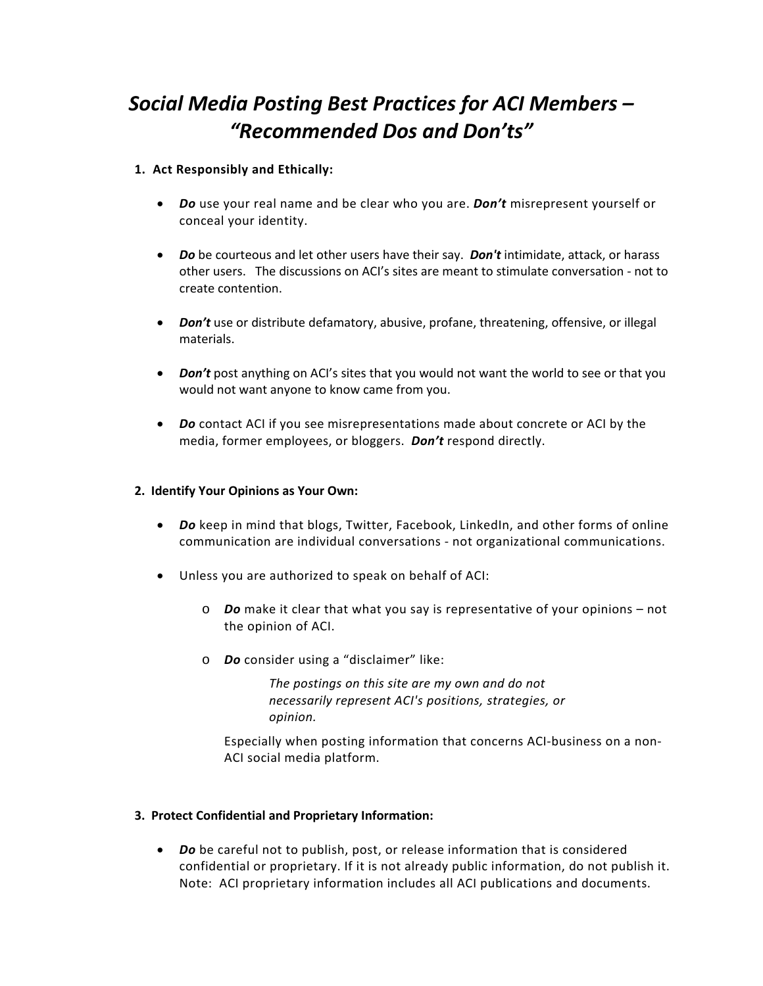# *Social Media Posting Best Practices for ACI Members – "Recommended Dos and Don'ts"*

## **1. Act Responsibly and Ethically:**

- *Do* use your real name and be clear who you are. *Don't* misrepresent yourself or conceal your identity.
- *Do* be courteous and let other users have their say. *Don't* intimidate, attack, or harass other users. The discussions on ACI's sites are meant to stimulate conversation ‐ not to create contention.
- *Don't* use or distribute defamatory, abusive, profane, threatening, offensive, or illegal materials.
- **Don't** post anything on ACI's sites that you would not want the world to see or that you would not want anyone to know came from you.
- *Do* contact ACI if you see misrepresentations made about concrete or ACI by the media, former employees, or bloggers. *Don't* respond directly.

#### **2. Identify Your Opinions as Your Own:**

- *Do* keep in mind that blogs, Twitter, Facebook, LinkedIn, and other forms of online communication are individual conversations ‐ not organizational communications.
- Unless you are authorized to speak on behalf of ACI:
	- o *Do* make it clear that what you say is representative of your opinions not the opinion of ACI.
	- o *Do* consider using a "disclaimer" like:

*The postings on this site are my own and do not necessarily represent ACI's positions, strategies, or opinion.*

Especially when posting information that concerns ACI‐business on a non‐ ACI social media platform.

### **3. Protect Confidential and Proprietary Information:**

 *Do* be careful not to publish, post, or release information that is considered confidential or proprietary. If it is not already public information, do not publish it. Note: ACI proprietary information includes all ACI publications and documents.